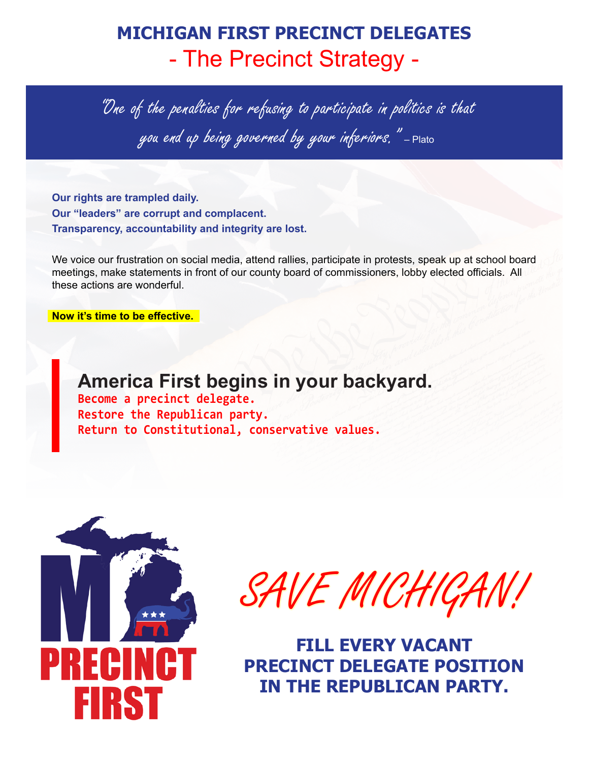# **MICHIGAN FIRST PRECINCT DELEGATES** - The Precinct Strategy -

"One of the penalties for refusing to participate in politics is that you end up being governed by your inferiors. "-Plato

**Our rights are trampled daily. Our "leaders" are corrupt and complacent. Transparency, accountability and integrity are lost.**

We voice our frustration on social media, attend rallies, participate in protests, speak up at school board meetings, make statements in front of our county board of commissioners, lobby elected officials. All these actions are wonderful.

**Now it's time to be effective.**

**America First begins in your backyard. Become a precinct delegate. Restore the Republican party. Return to Constitutional, conservative values.**



SAVE MICHIGAN!

**FILL EVERY VACANT PRECINCT DELEGATE POSITION IN THE REPUBLICAN PARTY.**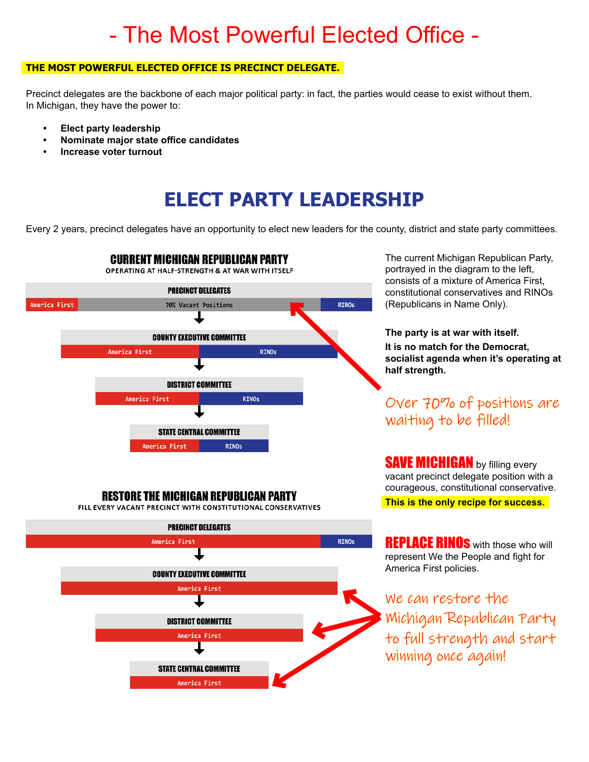# - The Most Powerful Elected Office -

#### **THE MOST POWERFUL ELECTED OFFICE IS PRECINCT DELEGATE.**

Precinct delegates are the backbone of each major political party: in fact, the parties would cease to exist without them. In Michigan, they have the power to:

- **• Elect party leadership**
- **• Nominate major state office candidates**
- **• Increase voter turnout**

## **ELECT PARTY LEADERSHIP**

Every 2 years, precinct delegates have an opportunity to elect new leaders for the county, district and state party committees.



#### **RESTORE THE MICHIGAN REPUBLICAN PARTY**

FILL EVERY VACANT PRECINCT WITH CONSTITUTIONAL CONSERVATIVES



The current Michigan Republican Party, portrayed in the diagram to the left, consists of a mixture of America First, constitutional conservatives and RINOs (Republicans in Name Only).

#### **The party is at war with itself. It is no match for the Democrat, socialist agenda when it's operating at half strength.**

#### Over 70% of positions are waiting to be filled!

**SAVE MICHIGAN** by filling every vacant precinct delegate position with a courageous, constitutional conservative. **This is the only recipe for success.**

**REPLACE RINOS** with those who will represent We the People and fight for America First policies.

We can restore the Michigan Republican Party to full strength and start winning once again!